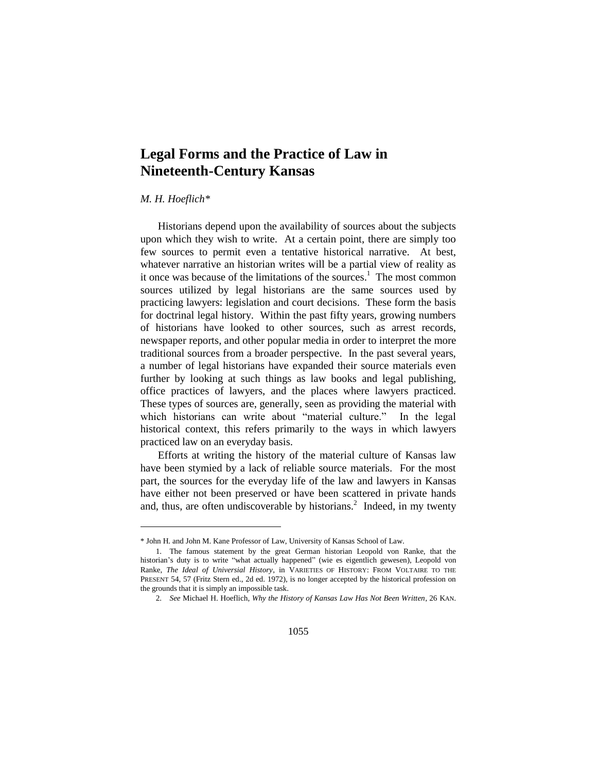## **Legal Forms and the Practice of Law in Nineteenth-Century Kansas**

## *M. H. Hoeflich\**

 $\overline{a}$ 

Historians depend upon the availability of sources about the subjects upon which they wish to write. At a certain point, there are simply too few sources to permit even a tentative historical narrative. At best, whatever narrative an historian writes will be a partial view of reality as it once was because of the limitations of the sources.<sup>1</sup> The most common sources utilized by legal historians are the same sources used by practicing lawyers: legislation and court decisions. These form the basis for doctrinal legal history. Within the past fifty years, growing numbers of historians have looked to other sources, such as arrest records, newspaper reports, and other popular media in order to interpret the more traditional sources from a broader perspective. In the past several years, a number of legal historians have expanded their source materials even further by looking at such things as law books and legal publishing, office practices of lawyers, and the places where lawyers practiced. These types of sources are, generally, seen as providing the material with which historians can write about "material culture." In the legal historical context, this refers primarily to the ways in which lawyers practiced law on an everyday basis.

Efforts at writing the history of the material culture of Kansas law have been stymied by a lack of reliable source materials. For the most part, the sources for the everyday life of the law and lawyers in Kansas have either not been preserved or have been scattered in private hands and, thus, are often undiscoverable by historians.<sup>2</sup> Indeed, in my twenty

<sup>\*</sup> John H. and John M. Kane Professor of Law, University of Kansas School of Law.

<sup>1.</sup> The famous statement by the great German historian Leopold von Ranke, that the historian's duty is to write "what actually happened" (wie es eigentlich gewesen), Leopold von Ranke, *The Ideal of Universial History*, in VARIETIES OF HISTORY: FROM VOLTAIRE TO THE PRESENT 54, 57 (Fritz Stern ed., 2d ed. 1972), is no longer accepted by the historical profession on the grounds that it is simply an impossible task.

<sup>2.</sup> *See* Michael H. Hoeflich, *Why the History of Kansas Law Has Not Been Written*, 26 KAN.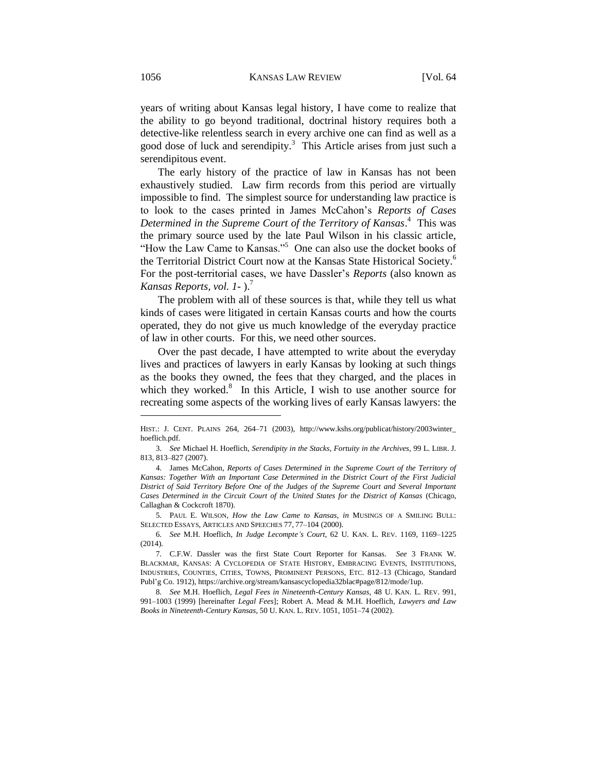years of writing about Kansas legal history, I have come to realize that the ability to go beyond traditional, doctrinal history requires both a detective-like relentless search in every archive one can find as well as a good dose of luck and serendipity.<sup>3</sup> This Article arises from just such a serendipitous event.

The early history of the practice of law in Kansas has not been exhaustively studied. Law firm records from this period are virtually impossible to find. The simplest source for understanding law practice is to look to the cases printed in James McCahon's *Reports of Cases Determined in the Supreme Court of the Territory of Kansas*. 4 This was the primary source used by the late Paul Wilson in his classic article, "How the Law Came to Kansas."<sup>5</sup> One can also use the docket books of the Territorial District Court now at the Kansas State Historical Society.<sup>6</sup> For the post-territorial cases, we have Dassler's *Reports* (also known as *Kansas Reports, vol. 1-* ).<sup>7</sup>

The problem with all of these sources is that, while they tell us what kinds of cases were litigated in certain Kansas courts and how the courts operated, they do not give us much knowledge of the everyday practice of law in other courts. For this, we need other sources.

Over the past decade, I have attempted to write about the everyday lives and practices of lawyers in early Kansas by looking at such things as the books they owned, the fees that they charged, and the places in which they worked. $8$  In this Article, I wish to use another source for recreating some aspects of the working lives of early Kansas lawyers: the

5. PAUL E. WILSON, *How the Law Came to Kansas*, *in* MUSINGS OF A SMILING BULL: SELECTED ESSAYS, ARTICLES AND SPEECHES 77, 77–104 (2000).

HIST.: J. CENT. PLAINS 264, 264–71 (2003), http://www.kshs.org/publicat/history/2003winter\_ hoeflich.pdf.

<sup>3.</sup> *See* Michael H. Hoeflich, *Serendipity in the Stacks, Fortuity in the Archives*, 99 L. LIBR. J. 813, 813–827 (2007).

<sup>4.</sup> James McCahon, *Reports of Cases Determined in the Supreme Court of the Territory of Kansas: Together With an Important Case Determined in the District Court of the First Judicial District of Said Territory Before One of the Judges of the Supreme Court and Several Important Cases Determined in the Circuit Court of the United States for the District of Kansas* (Chicago, Callaghan & Cockcroft 1870).

<sup>6.</sup> *See* M.H. Hoeflich, *In Judge Lecompte's Court*, 62 U. KAN. L. REV. 1169, 1169–1225 (2014).

<sup>7.</sup> C.F.W. Dassler was the first State Court Reporter for Kansas. *See* 3 FRANK W. BLACKMAR, KANSAS: A CYCLOPEDIA OF STATE HISTORY, EMBRACING EVENTS, INSTITUTIONS, INDUSTRIES, COUNTIES, CITIES, TOWNS, PROMINENT PERSONS, ETC. 812–13 (Chicago, Standard Publ'g Co. 1912), https://archive.org/stream/kansascyclopedia32blac#page/812/mode/1up.

<sup>8.</sup> *See* M.H. Hoeflich, *Legal Fees in Nineteenth-Century Kansas*, 48 U. KAN. L. REV. 991, 991–1003 (1999) [hereinafter *Legal Fees*]; Robert A. Mead & M.H. Hoeflich, *Lawyers and Law Books in Nineteenth-Century Kansas*, 50 U. KAN. L. REV. 1051, 1051–74 (2002).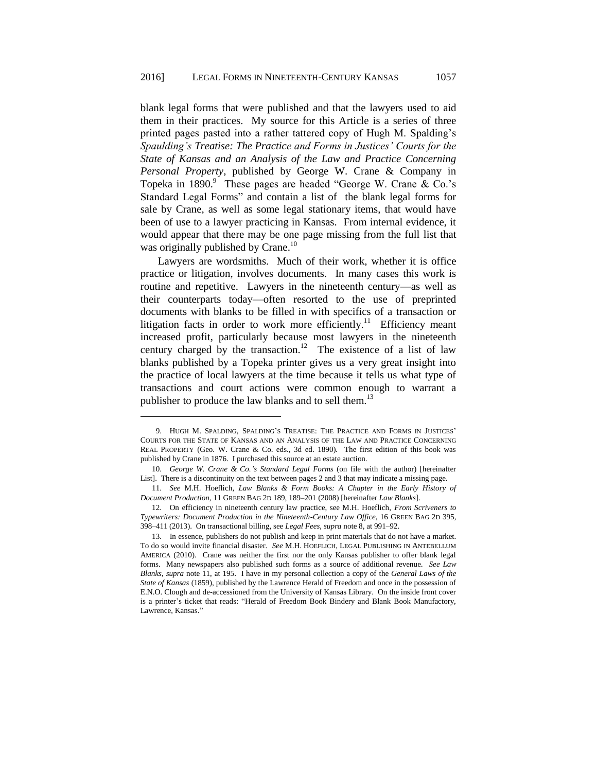blank legal forms that were published and that the lawyers used to aid them in their practices. My source for this Article is a series of three printed pages pasted into a rather tattered copy of Hugh M. Spalding's *Spaulding's Treatise: The Practice and Forms in Justices' Courts for the State of Kansas and an Analysis of the Law and Practice Concerning Personal Property*, published by George W. Crane & Company in Topeka in 1890.<sup>9</sup> These pages are headed "George W. Crane & Co.'s Standard Legal Forms" and contain a list of the blank legal forms for sale by Crane, as well as some legal stationary items, that would have been of use to a lawyer practicing in Kansas. From internal evidence, it would appear that there may be one page missing from the full list that was originally published by Crane.<sup>10</sup>

Lawyers are wordsmiths. Much of their work, whether it is office practice or litigation, involves documents. In many cases this work is routine and repetitive. Lawyers in the nineteenth century—as well as their counterparts today—often resorted to the use of preprinted documents with blanks to be filled in with specifics of a transaction or litigation facts in order to work more efficiently.<sup>11</sup> Efficiency meant increased profit, particularly because most lawyers in the nineteenth century charged by the transaction.<sup>12</sup> The existence of a list of law blanks published by a Topeka printer gives us a very great insight into the practice of local lawyers at the time because it tells us what type of transactions and court actions were common enough to warrant a publisher to produce the law blanks and to sell them.<sup>13</sup>

l

<sup>9.</sup> HUGH M. SPALDING, SPALDING'S TREATISE: THE PRACTICE AND FORMS IN JUSTICES' COURTS FOR THE STATE OF KANSAS AND AN ANALYSIS OF THE LAW AND PRACTICE CONCERNING REAL PROPERTY (Geo. W. Crane & Co. eds., 3d ed. 1890). The first edition of this book was published by Crane in 1876. I purchased this source at an estate auction.

<sup>10.</sup> *George W. Crane & Co.'s Standard Legal Forms* (on file with the author) [hereinafter List]. There is a discontinuity on the text between pages 2 and 3 that may indicate a missing page.

<sup>11.</sup> *See* M.H. Hoeflich, *Law Blanks & Form Books: A Chapter in the Early History of Document Production*, 11 GREEN BAG 2D 189, 189–201 (2008) [hereinafter *Law Blanks*].

<sup>12.</sup> On efficiency in nineteenth century law practice, see M.H. Hoeflich, *From Scriveners to Typewriters: Document Production in the Nineteenth-Century Law Office*, 16 GREEN BAG 2D 395, 398–411 (2013). On transactional billing, see *Legal Fees*, *supra* note 8, at 991–92.

<sup>13.</sup> In essence, publishers do not publish and keep in print materials that do not have a market. To do so would invite financial disaster. *See* M.H. HOEFLICH, LEGAL PUBLISHING IN ANTEBELLUM AMERICA (2010). Crane was neither the first nor the only Kansas publisher to offer blank legal forms. Many newspapers also published such forms as a source of additional revenue. *See Law Blanks*, *supra* note 11, at 195. I have in my personal collection a copy of the *General Laws of the State of Kansas* (1859), published by the Lawrence Herald of Freedom and once in the possession of E.N.O. Clough and de-accessioned from the University of Kansas Library. On the inside front cover is a printer's ticket that reads: "Herald of Freedom Book Bindery and Blank Book Manufactory, Lawrence, Kansas."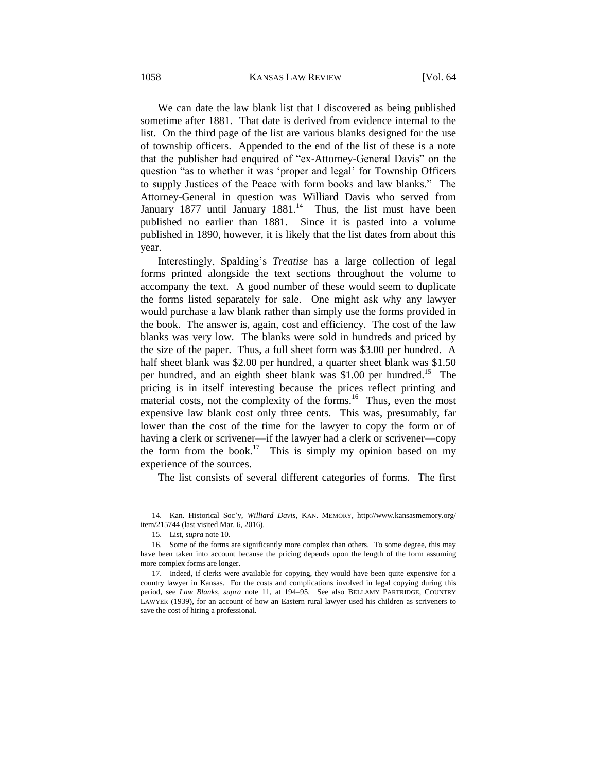## 1058 KANSAS LAW REVIEW [Vol. 64

We can date the law blank list that I discovered as being published sometime after 1881. That date is derived from evidence internal to the list. On the third page of the list are various blanks designed for the use of township officers. Appended to the end of the list of these is a note that the publisher had enquired of "ex-Attorney-General Davis" on the question "as to whether it was 'proper and legal' for Township Officers to supply Justices of the Peace with form books and law blanks." The Attorney-General in question was Williard Davis who served from January 1877 until January 1881.<sup>14</sup> Thus, the list must have been published no earlier than 1881. Since it is pasted into a volume published in 1890, however, it is likely that the list dates from about this year.

Interestingly, Spalding's *Treatise* has a large collection of legal forms printed alongside the text sections throughout the volume to accompany the text. A good number of these would seem to duplicate the forms listed separately for sale. One might ask why any lawyer would purchase a law blank rather than simply use the forms provided in the book. The answer is, again, cost and efficiency. The cost of the law blanks was very low. The blanks were sold in hundreds and priced by the size of the paper. Thus, a full sheet form was \$3.00 per hundred. A half sheet blank was \$2.00 per hundred, a quarter sheet blank was \$1.50 per hundred, and an eighth sheet blank was \$1.00 per hundred.<sup>15</sup> The pricing is in itself interesting because the prices reflect printing and material costs, not the complexity of the forms.<sup>16</sup> Thus, even the most expensive law blank cost only three cents. This was, presumably, far lower than the cost of the time for the lawyer to copy the form or of having a clerk or scrivener—if the lawyer had a clerk or scrivener—copy the form from the book.<sup>17</sup> This is simply my opinion based on my experience of the sources.

The list consists of several different categories of forms. The first

<sup>14.</sup> Kan. Historical Soc'y, *Williard Davis*, KAN. MEMORY, http://www.kansasmemory.org/ item/215744 (last visited Mar. 6, 2016).

<sup>15.</sup> List, *supra* note 10.

<sup>16.</sup> Some of the forms are significantly more complex than others. To some degree, this may have been taken into account because the pricing depends upon the length of the form assuming more complex forms are longer.

<sup>17.</sup> Indeed, if clerks were available for copying, they would have been quite expensive for a country lawyer in Kansas. For the costs and complications involved in legal copying during this period, see *Law Blanks*, *supra* note 11, at 194–95. See also BELLAMY PARTRIDGE, COUNTRY LAWYER (1939), for an account of how an Eastern rural lawyer used his children as scriveners to save the cost of hiring a professional.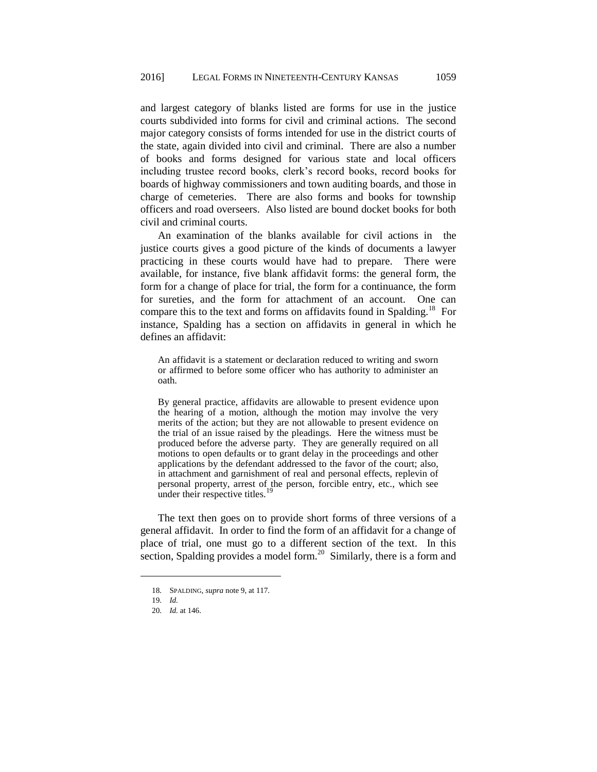and largest category of blanks listed are forms for use in the justice courts subdivided into forms for civil and criminal actions. The second major category consists of forms intended for use in the district courts of the state, again divided into civil and criminal. There are also a number of books and forms designed for various state and local officers including trustee record books, clerk's record books, record books for boards of highway commissioners and town auditing boards, and those in charge of cemeteries. There are also forms and books for township officers and road overseers. Also listed are bound docket books for both civil and criminal courts.

An examination of the blanks available for civil actions in the justice courts gives a good picture of the kinds of documents a lawyer practicing in these courts would have had to prepare. There were available, for instance, five blank affidavit forms: the general form, the form for a change of place for trial, the form for a continuance, the form for sureties, and the form for attachment of an account. One can compare this to the text and forms on affidavits found in Spalding.<sup>18</sup> For instance, Spalding has a section on affidavits in general in which he defines an affidavit:

An affidavit is a statement or declaration reduced to writing and sworn or affirmed to before some officer who has authority to administer an oath.

By general practice, affidavits are allowable to present evidence upon the hearing of a motion, although the motion may involve the very merits of the action; but they are not allowable to present evidence on the trial of an issue raised by the pleadings. Here the witness must be produced before the adverse party. They are generally required on all motions to open defaults or to grant delay in the proceedings and other applications by the defendant addressed to the favor of the court; also, in attachment and garnishment of real and personal effects, replevin of personal property, arrest of the person, forcible entry, etc., which see under their respective titles.

The text then goes on to provide short forms of three versions of a general affidavit. In order to find the form of an affidavit for a change of place of trial, one must go to a different section of the text. In this section, Spalding provides a model form.<sup>20</sup> Similarly, there is a form and

<sup>18.</sup> SPALDING, *supra* note 9, at 117.

<sup>19.</sup> *Id.*

<sup>20.</sup> *Id.* at 146.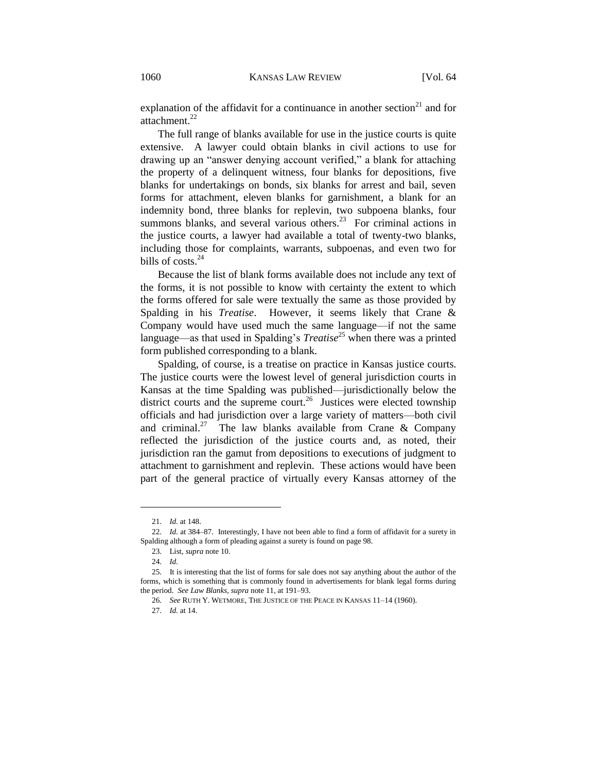explanation of the affidavit for a continuance in another section<sup>21</sup> and for attachment. $^{22}$ 

The full range of blanks available for use in the justice courts is quite extensive. A lawyer could obtain blanks in civil actions to use for drawing up an "answer denying account verified," a blank for attaching the property of a delinquent witness, four blanks for depositions, five blanks for undertakings on bonds, six blanks for arrest and bail, seven forms for attachment, eleven blanks for garnishment, a blank for an indemnity bond, three blanks for replevin, two subpoena blanks, four summons blanks, and several various others.<sup>23</sup> For criminal actions in the justice courts, a lawyer had available a total of twenty-two blanks, including those for complaints, warrants, subpoenas, and even two for bills of costs. $24$ 

Because the list of blank forms available does not include any text of the forms, it is not possible to know with certainty the extent to which the forms offered for sale were textually the same as those provided by Spalding in his *Treatise*. However, it seems likely that Crane & Company would have used much the same language—if not the same language—as that used in Spalding's *Treatise*<sup>25</sup> when there was a printed form published corresponding to a blank.

Spalding, of course, is a treatise on practice in Kansas justice courts. The justice courts were the lowest level of general jurisdiction courts in Kansas at the time Spalding was published—jurisdictionally below the district courts and the supreme court.<sup>26</sup> Justices were elected township officials and had jurisdiction over a large variety of matters—both civil and criminal.<sup>27</sup> The law blanks available from Crane & Company reflected the jurisdiction of the justice courts and, as noted, their jurisdiction ran the gamut from depositions to executions of judgment to attachment to garnishment and replevin. These actions would have been part of the general practice of virtually every Kansas attorney of the

l

<sup>21.</sup> *Id.* at 148.

<sup>22.</sup> *Id.* at 384–87. Interestingly, I have not been able to find a form of affidavit for a surety in Spalding although a form of pleading against a surety is found on page 98.

<sup>23.</sup> List, *supra* note 10.

<sup>24.</sup> *Id.*

<sup>25.</sup> It is interesting that the list of forms for sale does not say anything about the author of the forms, which is something that is commonly found in advertisements for blank legal forms during the period. *See Law Blanks*, *supra* note 11, at 191–93.

<sup>26.</sup> *See* RUTH Y. WETMORE, THE JUSTICE OF THE PEACE IN KANSAS 11–14 (1960).

<sup>27.</sup> *Id.* at 14.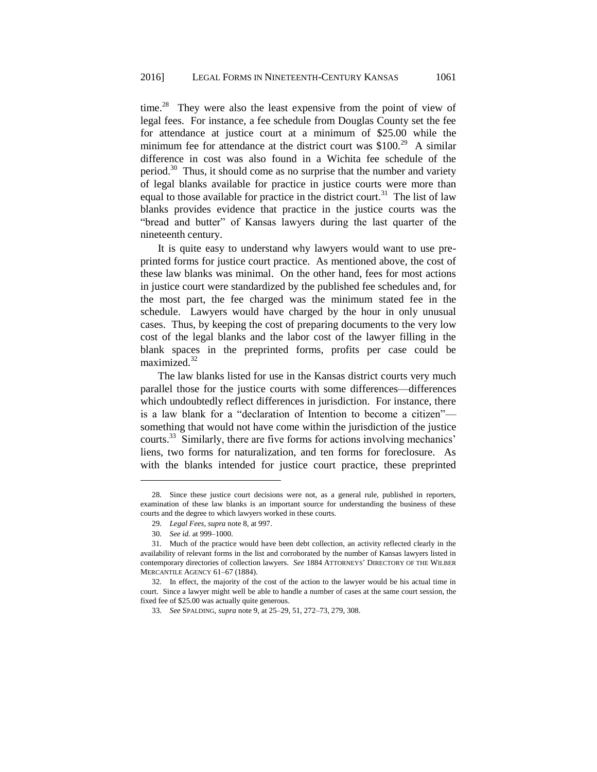time.<sup>28</sup> They were also the least expensive from the point of view of legal fees. For instance, a fee schedule from Douglas County set the fee for attendance at justice court at a minimum of \$25.00 while the minimum fee for attendance at the district court was  $$100.<sup>29</sup>$  A similar difference in cost was also found in a Wichita fee schedule of the period.<sup>30</sup> Thus, it should come as no surprise that the number and variety of legal blanks available for practice in justice courts were more than equal to those available for practice in the district court.<sup>31</sup> The list of law blanks provides evidence that practice in the justice courts was the "bread and butter" of Kansas lawyers during the last quarter of the nineteenth century.

It is quite easy to understand why lawyers would want to use preprinted forms for justice court practice. As mentioned above, the cost of these law blanks was minimal. On the other hand, fees for most actions in justice court were standardized by the published fee schedules and, for the most part, the fee charged was the minimum stated fee in the schedule. Lawyers would have charged by the hour in only unusual cases. Thus, by keeping the cost of preparing documents to the very low cost of the legal blanks and the labor cost of the lawyer filling in the blank spaces in the preprinted forms, profits per case could be maximized.<sup>32</sup>

The law blanks listed for use in the Kansas district courts very much parallel those for the justice courts with some differences—differences which undoubtedly reflect differences in jurisdiction. For instance, there is a law blank for a "declaration of Intention to become a citizen" something that would not have come within the jurisdiction of the justice courts.<sup>33</sup> Similarly, there are five forms for actions involving mechanics' liens, two forms for naturalization, and ten forms for foreclosure. As with the blanks intended for justice court practice, these preprinted

<sup>28.</sup> Since these justice court decisions were not, as a general rule, published in reporters, examination of these law blanks is an important source for understanding the business of these courts and the degree to which lawyers worked in these courts.

<sup>29.</sup> *Legal Fees*, *supra* note 8, at 997.

<sup>30.</sup> *See id.* at 999–1000.

<sup>31.</sup> Much of the practice would have been debt collection, an activity reflected clearly in the availability of relevant forms in the list and corroborated by the number of Kansas lawyers listed in contemporary directories of collection lawyers. *See* 1884 ATTORNEYS' DIRECTORY OF THE WILBER MERCANTILE AGENCY 61–67 (1884).

<sup>32.</sup> In effect, the majority of the cost of the action to the lawyer would be his actual time in court. Since a lawyer might well be able to handle a number of cases at the same court session, the fixed fee of \$25.00 was actually quite generous.

<sup>33.</sup> *See* SPALDING, *supra* note 9, at 25–29, 51, 272–73, 279, 308.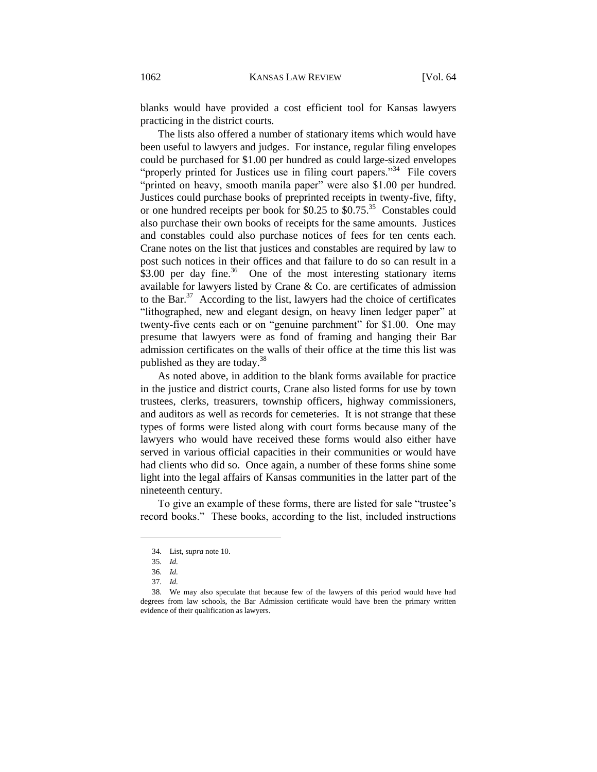blanks would have provided a cost efficient tool for Kansas lawyers practicing in the district courts.

The lists also offered a number of stationary items which would have been useful to lawyers and judges. For instance, regular filing envelopes could be purchased for \$1.00 per hundred as could large-sized envelopes "properly printed for Justices use in filing court papers."<sup>34</sup> File covers "printed on heavy, smooth manila paper" were also \$1.00 per hundred. Justices could purchase books of preprinted receipts in twenty-five, fifty, or one hundred receipts per book for \$0.25 to \$0.75.<sup>35</sup> Constables could also purchase their own books of receipts for the same amounts. Justices and constables could also purchase notices of fees for ten cents each. Crane notes on the list that justices and constables are required by law to post such notices in their offices and that failure to do so can result in a  $$3.00$  per day fine.<sup>36</sup> One of the most interesting stationary items available for lawyers listed by Crane & Co. are certificates of admission to the Bar.<sup>37</sup> According to the list, lawyers had the choice of certificates "lithographed, new and elegant design, on heavy linen ledger paper" at twenty-five cents each or on "genuine parchment" for \$1.00. One may presume that lawyers were as fond of framing and hanging their Bar admission certificates on the walls of their office at the time this list was published as they are today.<sup>38</sup>

As noted above, in addition to the blank forms available for practice in the justice and district courts, Crane also listed forms for use by town trustees, clerks, treasurers, township officers, highway commissioners, and auditors as well as records for cemeteries. It is not strange that these types of forms were listed along with court forms because many of the lawyers who would have received these forms would also either have served in various official capacities in their communities or would have had clients who did so. Once again, a number of these forms shine some light into the legal affairs of Kansas communities in the latter part of the nineteenth century.

To give an example of these forms, there are listed for sale "trustee's record books." These books, according to the list, included instructions

<sup>34.</sup> List, *supra* note 10.

<sup>35.</sup> *Id.*

<sup>36.</sup> *Id.*

<sup>37.</sup> *Id.*

<sup>38.</sup> We may also speculate that because few of the lawyers of this period would have had degrees from law schools, the Bar Admission certificate would have been the primary written evidence of their qualification as lawyers.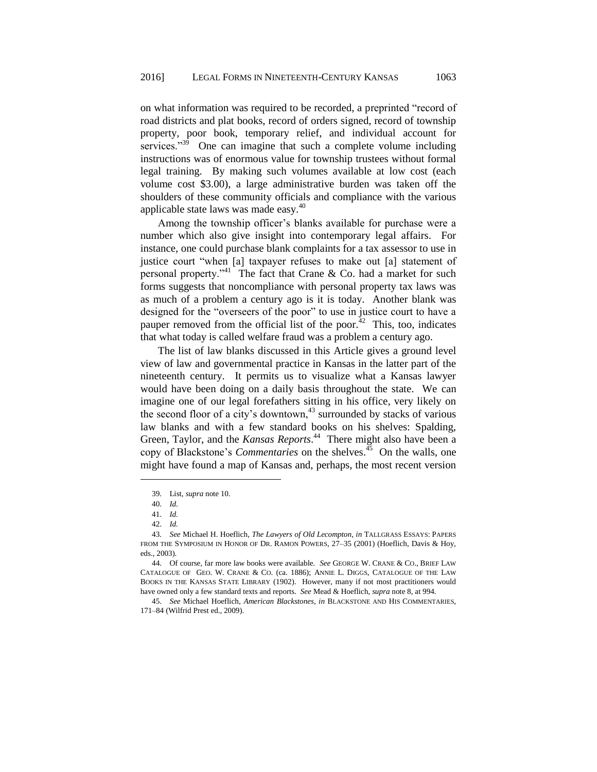on what information was required to be recorded, a preprinted "record of road districts and plat books, record of orders signed, record of township property, poor book, temporary relief, and individual account for services." $39\overline{9}$  One can imagine that such a complete volume including instructions was of enormous value for township trustees without formal legal training. By making such volumes available at low cost (each volume cost \$3.00), a large administrative burden was taken off the shoulders of these community officials and compliance with the various applicable state laws was made easy.<sup>40</sup>

Among the township officer's blanks available for purchase were a number which also give insight into contemporary legal affairs. For instance, one could purchase blank complaints for a tax assessor to use in justice court "when [a] taxpayer refuses to make out [a] statement of personal property."<sup>41</sup> The fact that Crane & Co. had a market for such forms suggests that noncompliance with personal property tax laws was as much of a problem a century ago is it is today. Another blank was designed for the "overseers of the poor" to use in justice court to have a pauper removed from the official list of the poor. $42$  This, too, indicates that what today is called welfare fraud was a problem a century ago.

The list of law blanks discussed in this Article gives a ground level view of law and governmental practice in Kansas in the latter part of the nineteenth century. It permits us to visualize what a Kansas lawyer would have been doing on a daily basis throughout the state. We can imagine one of our legal forefathers sitting in his office, very likely on the second floor of a city's downtown, $43$  surrounded by stacks of various law blanks and with a few standard books on his shelves: Spalding, Green, Taylor, and the *Kansas Reports*. 44 There might also have been a copy of Blackstone's *Commentaries* on the shelves.<sup>45</sup> On the walls, one might have found a map of Kansas and, perhaps, the most recent version

<sup>39.</sup> List, *supra* note 10.

<sup>40.</sup> *Id.*

<sup>41.</sup> *Id.*

<sup>42.</sup> *Id.*

<sup>43.</sup> *See* Michael H. Hoeflich, *The Lawyers of Old Lecompton*, *in* TALLGRASS ESSAYS: PAPERS FROM THE SYMPOSIUM IN HONOR OF DR. RAMON POWERS, 27–35 (2001) (Hoeflich, Davis & Hoy, eds., 2003).

<sup>44.</sup> Of course, far more law books were available. *See* GEORGE W. CRANE & CO., BRIEF LAW CATALOGUE OF GEO. W. CRANE & CO. (ca. 1886); ANNIE L. DIGGS, CATALOGUE OF THE LAW BOOKS IN THE KANSAS STATE LIBRARY (1902). However, many if not most practitioners would have owned only a few standard texts and reports. *See* Mead & Hoeflich, *supra* note 8, at 994.

<sup>45.</sup> *See* Michael Hoeflich, *American Blackstones*, *in* BLACKSTONE AND HIS COMMENTARIES, 171–84 (Wilfrid Prest ed., 2009).